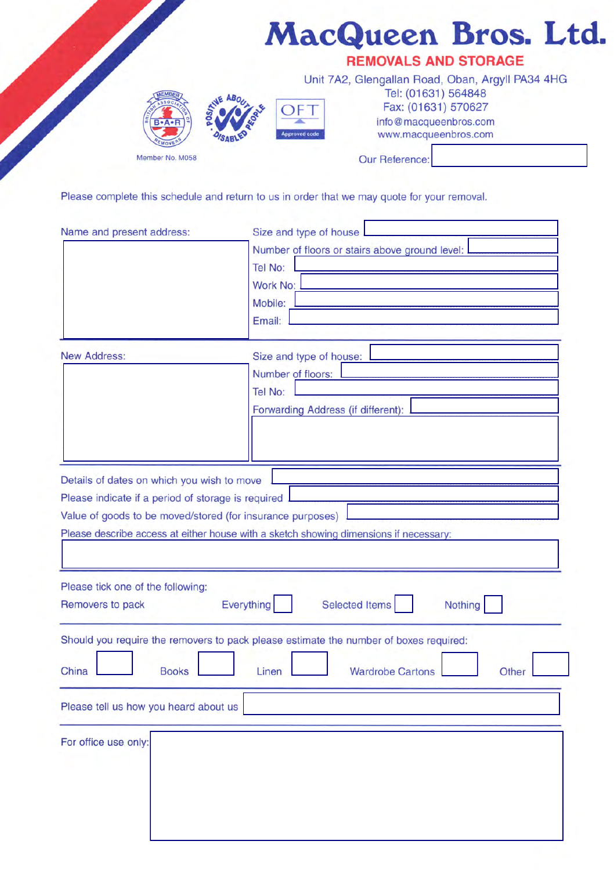|                 |                             | MacQueen Bros. Ltd.                                                                                                                                                      |  |  |  |  |
|-----------------|-----------------------------|--------------------------------------------------------------------------------------------------------------------------------------------------------------------------|--|--|--|--|
|                 | <b>REMOVALS AND STORAGE</b> |                                                                                                                                                                          |  |  |  |  |
| Member No. M058 | <b>Approved code</b>        | Unit 7A2, Glengallan Road, Oban, Argyll PA34 4HG<br>Tel: (01631) 564848<br>Fax: (01631) 570627<br>info@macqueenbros.com<br>www.macqueenbros.com<br><b>Our Reference:</b> |  |  |  |  |

Please complete this schedule and return to us in order that we may quote for your removal.

| Name and present address:                                  | Size and type of house                                                                |
|------------------------------------------------------------|---------------------------------------------------------------------------------------|
|                                                            | Number of floors or stairs above ground level:                                        |
|                                                            | Tel No:                                                                               |
|                                                            | Work No:                                                                              |
|                                                            | Mobile:                                                                               |
|                                                            | Email:                                                                                |
|                                                            |                                                                                       |
| <b>New Address:</b>                                        | Size and type of house:                                                               |
|                                                            | Number of floors:                                                                     |
|                                                            | Tel No:                                                                               |
|                                                            |                                                                                       |
|                                                            | Forwarding Address (if different):                                                    |
|                                                            |                                                                                       |
|                                                            |                                                                                       |
|                                                            |                                                                                       |
| Details of dates on which you wish to move                 |                                                                                       |
| Please indicate if a period of storage is required         |                                                                                       |
| Value of goods to be moved/stored (for insurance purposes) |                                                                                       |
|                                                            | Please describe access at either house with a sketch showing dimensions if necessary: |
|                                                            |                                                                                       |
|                                                            |                                                                                       |
| Please tick one of the following:                          |                                                                                       |
| Removers to pack                                           | Everything<br><b>Selected Items</b><br>Nothing                                        |
|                                                            |                                                                                       |
|                                                            | Should you require the removers to pack please estimate the number of boxes required: |
|                                                            |                                                                                       |
| China<br><b>Books</b>                                      | <b>Wardrobe Cartons</b><br>Linen<br>Other                                             |
|                                                            |                                                                                       |
| Please tell us how you heard about us                      |                                                                                       |
|                                                            |                                                                                       |
| For office use only:                                       |                                                                                       |
|                                                            |                                                                                       |
|                                                            |                                                                                       |
|                                                            |                                                                                       |
|                                                            |                                                                                       |
|                                                            |                                                                                       |
|                                                            |                                                                                       |